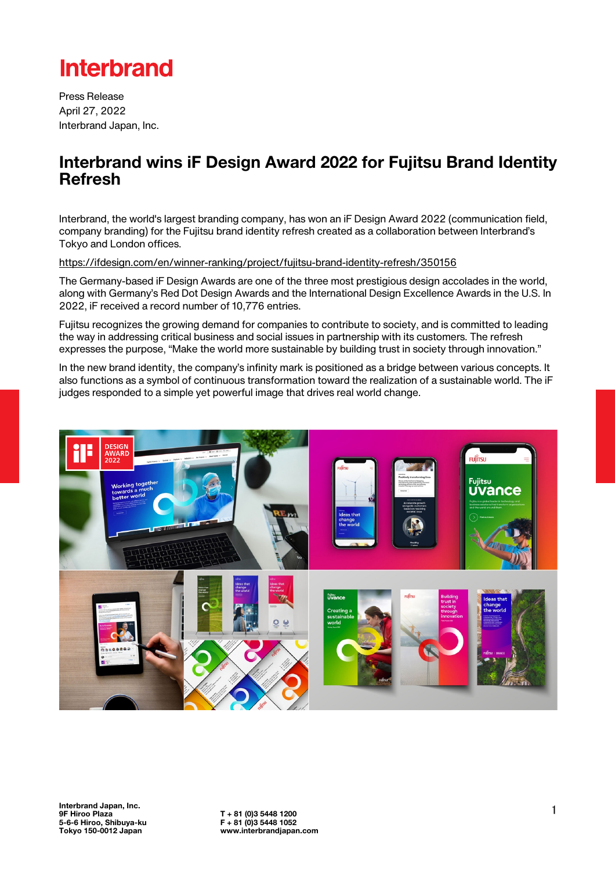# **Interbrand**

Press Release April 27, 2022 Interbrand Japan, Inc.

### Interbrand wins iF Design Award 2022 for Fujitsu Brand Identity Refresh

Interbrand, the world's largest branding company, has won an iF Design Award 2022 (communication field, company branding) for the Fujitsu brand identity refresh created as a collaboration between Interbrand's Tokyo and London offices.

<https://ifdesign.com/en/winner-ranking/project/fujitsu-brand-identity-refresh/350156>

The Germany-based iF Design Awards are one of the three most prestigious design accolades in the world, along with Germany's Red Dot Design Awards and the International Design Excellence Awards in the U.S. In 2022, iF received a record number of 10,776 entries.

Fujitsu recognizes the growing demand for companies to contribute to society, and is committed to leading the way in addressing critical business and social issues in partnership with its customers. The refresh expresses the purpose, "Make the world more sustainable by building trust in society through innovation."

In the new brand identity, the company's infinity mark is positioned as a bridge between various concepts. It also functions as a symbol of continuous transformation toward the realization of a sustainable world. The iF judges responded to a simple yet powerful image that drives real world change.

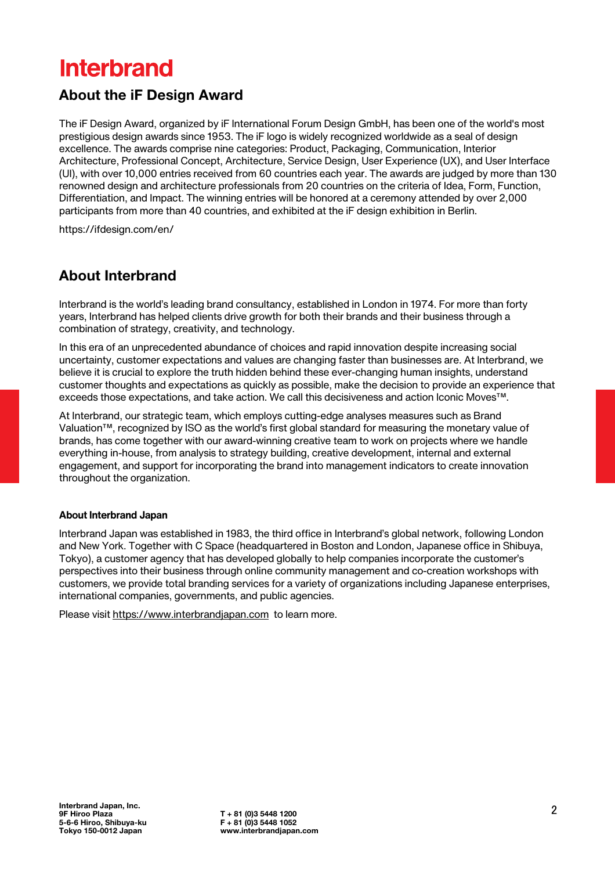## **Interbrand**

### About the iF Design Award

The iF Design Award, organized by iF International Forum Design GmbH, has been one of the world's most prestigious design awards since 1953. The iF logo is widely recognized worldwide as a seal of design excellence. The awards comprise nine categories: Product, Packaging, Communication, Interior Architecture, Professional Concept, Architecture, Service Design, User Experience (UX), and User Interface (UI), with over 10,000 entries received from 60 countries each year. The awards are judged by more than 130 renowned design and architecture professionals from 20 countries on the criteria of Idea, Form, Function, Differentiation, and Impact. The winning entries will be honored at a ceremony attended by over 2,000 participants from more than 40 countries, and exhibited at the iF design exhibition in Berlin.

<https://ifdesign.com/en/>

#### About Interbrand

Interbrand is the world's leading brand consultancy, established in London in 1974. For more than forty years, Interbrand has helped clients drive growth for both their brands and their business through a combination of strategy, creativity, and technology.

In this era of an unprecedented abundance of choices and rapid innovation despite increasing social uncertainty, customer expectations and values are changing faster than businesses are. At Interbrand, we believe it is crucial to explore the truth hidden behind these ever-changing human insights, understand customer thoughts and expectations as quickly as possible, make the decision to provide an experience that exceeds those expectations, and take action. We call this decisiveness and action Iconic Moves™.

At Interbrand, our strategic team, which employs cutting-edge analyses measures such as Brand Valuation™, recognized by ISO as the world's first global standard for measuring the monetary value of brands, has come together with our award-winning creative team to work on projects where we handle everything in-house, from analysis to strategy building, creative development, internal and external engagement, and support for incorporating the brand into management indicators to create innovation throughout the organization.

#### **About Interbrand Japan**

Interbrand Japan was established in 1983, the third office in Interbrand's global network, following London and New York. Together with C Space (headquartered in Boston and London, Japanese office in Shibuya, Tokyo), a customer agency that has developed globally to help companies incorporate the customer's perspectives into their business through online community management and co-creation workshops with customers, we provide total branding services for a variety of organizations including Japanese enterprises, international companies, governments, and public agencies.

Please visit <https://www.interbrandjapan.com>to learn more.